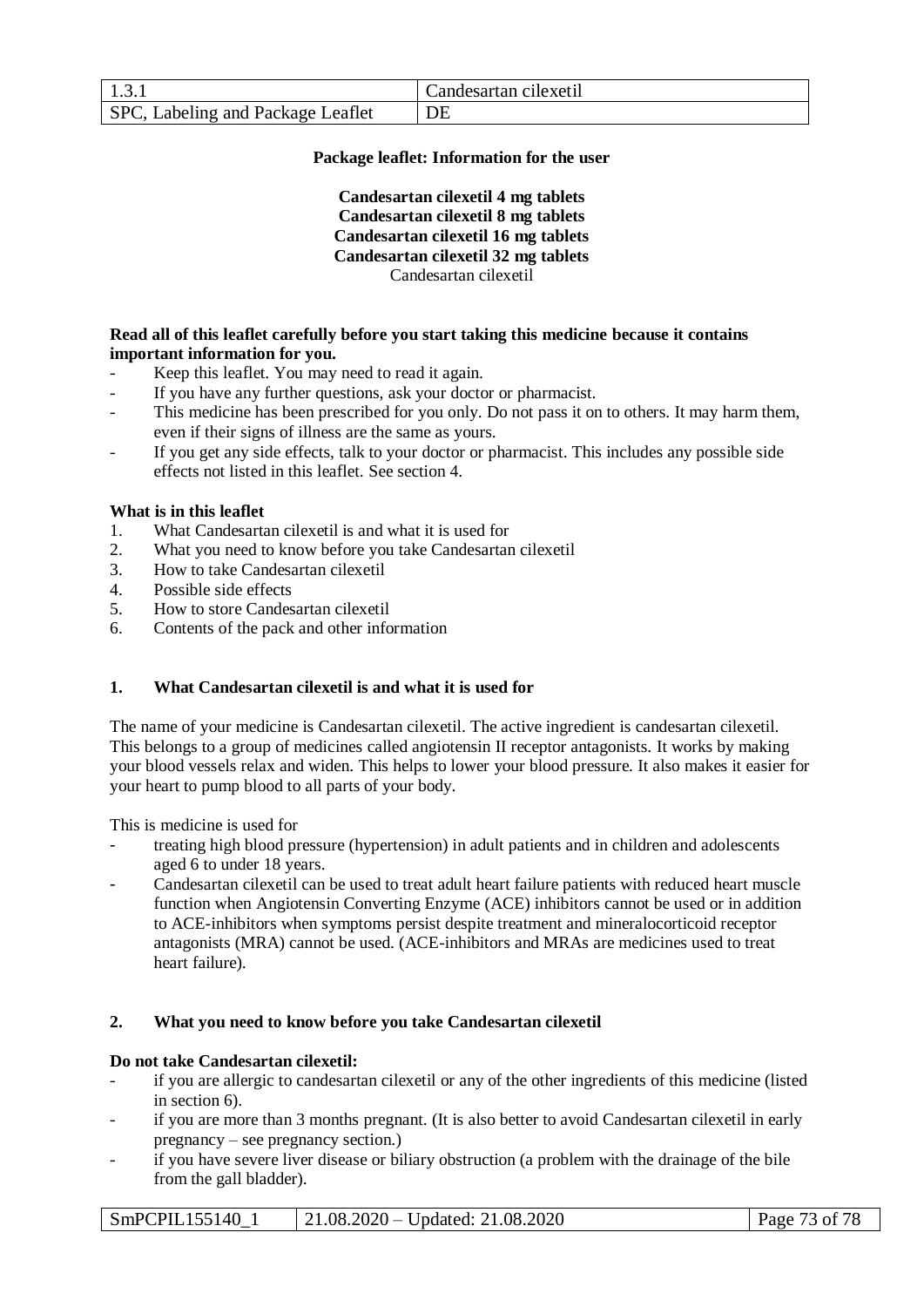|                                   | Candesartan cilexetil |
|-----------------------------------|-----------------------|
| SPC, Labeling and Package Leaflet |                       |

## **Package leaflet: Information for the user**

**Candesartan cilexetil 4 mg tablets Candesartan cilexetil 8 mg tablets Candesartan cilexetil 16 mg tablets Candesartan cilexetil 32 mg tablets** Candesartan cilexetil

## **Read all of this leaflet carefully before you start taking this medicine because it contains important information for you.**

- Keep this leaflet. You may need to read it again.
- If you have any further questions, ask your doctor or pharmacist.
- This medicine has been prescribed for you only. Do not pass it on to others. It may harm them, even if their signs of illness are the same as yours.
- If you get any side effects, talk to your doctor or pharmacist. This includes any possible side effects not listed in this leaflet. See section 4.

## **What is in this leaflet**

- 1. What Candesartan cilexetil is and what it is used for
- 2. What you need to know before you take Candesartan cilexetil
- 3. How to take Candesartan cilexetil
- 4. Possible side effects
- 5. How to store Candesartan cilexetil
- 6. Contents of the pack and other information

# **1. What Candesartan cilexetil is and what it is used for**

The name of your medicine is Candesartan cilexetil. The active ingredient is candesartan cilexetil. This belongs to a group of medicines called angiotensin II receptor antagonists. It works by making your blood vessels relax and widen. This helps to lower your blood pressure. It also makes it easier for your heart to pump blood to all parts of your body.

This is medicine is used for

- treating high blood pressure (hypertension) in adult patients and in children and adolescents aged 6 to under 18 years.
- Candesartan cilexetil can be used to treat adult heart failure patients with reduced heart muscle function when Angiotensin Converting Enzyme (ACE) inhibitors cannot be used or in addition to ACE-inhibitors when symptoms persist despite treatment and mineralocorticoid receptor antagonists (MRA) cannot be used. (ACE-inhibitors and MRAs are medicines used to treat heart failure).

## **2. What you need to know before you take Candesartan cilexetil**

## **Do not take Candesartan cilexetil:**

- if you are allergic to candesartan cilexetil or any of the other ingredients of this medicine (listed in section 6).
- if you are more than 3 months pregnant. (It is also better to avoid Candesartan cilexetil in early pregnancy – see pregnancy section.)
- if you have severe liver disease or biliary obstruction (a problem with the drainage of the bile from the gall bladder).

SmPCPIL155140\_1 | 21.08.2020 – Updated: 21.08.2020 | Page 73 of 78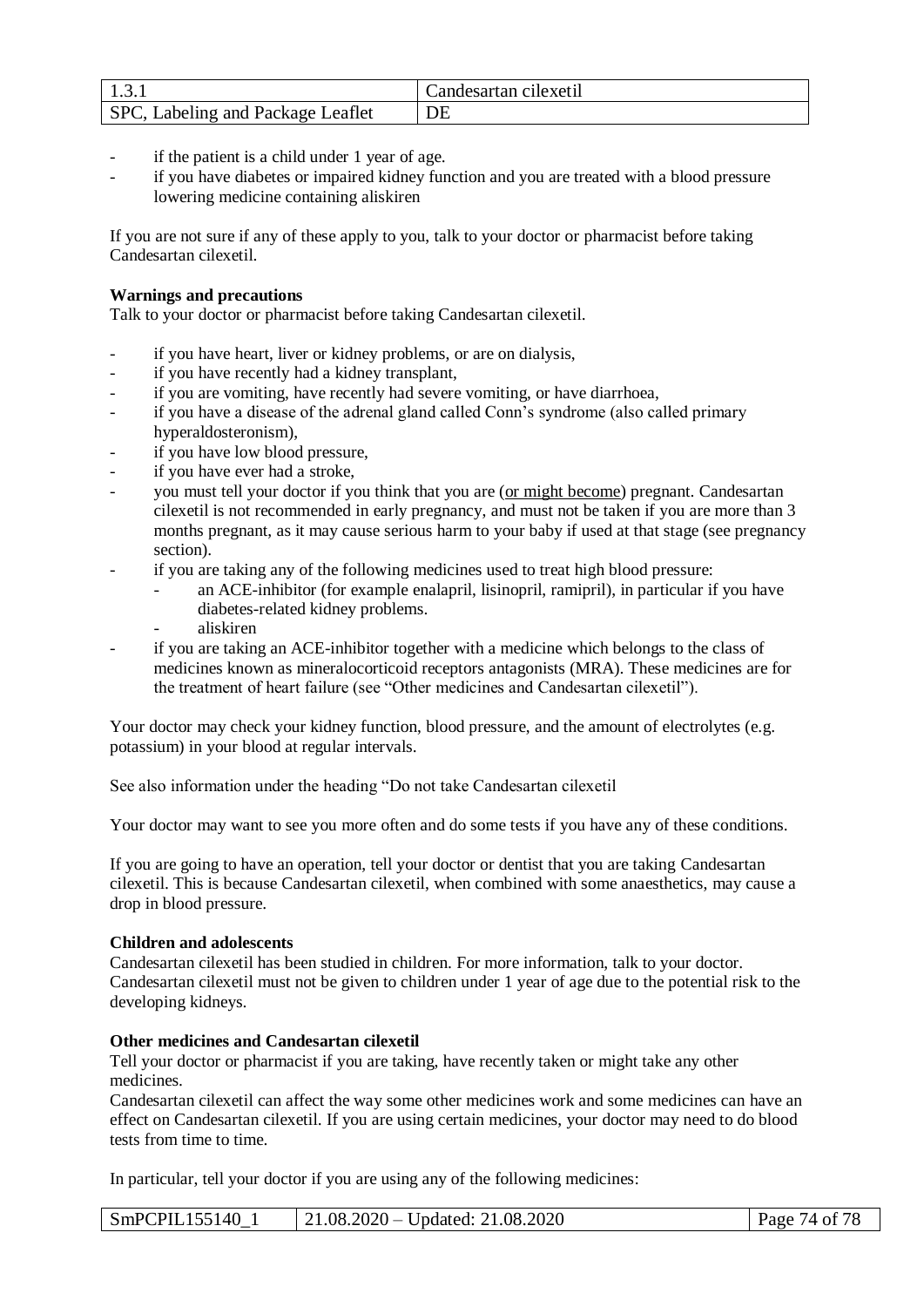|                                   | Candesartan cilexetil |
|-----------------------------------|-----------------------|
| SPC, Labeling and Package Leaflet |                       |

- if the patient is a child under 1 year of age.
- if you have diabetes or impaired kidney function and you are treated with a blood pressure lowering medicine containing aliskiren

If you are not sure if any of these apply to you, talk to your doctor or pharmacist before taking Candesartan cilexetil.

# **Warnings and precautions**

Talk to your doctor or pharmacist before taking Candesartan cilexetil.

- if you have heart, liver or kidney problems, or are on dialysis,
- if you have recently had a kidney transplant,
- if you are vomiting, have recently had severe vomiting, or have diarrhoea,
- if you have a disease of the adrenal gland called Conn's syndrome (also called primary hyperaldosteronism),
- if you have low blood pressure,
- if you have ever had a stroke,
- you must tell your doctor if you think that you are (or might become) pregnant. Candesartan cilexetil is not recommended in early pregnancy, and must not be taken if you are more than 3 months pregnant, as it may cause serious harm to your baby if used at that stage (see pregnancy section).
- if you are taking any of the following medicines used to treat high blood pressure:
	- an ACE-inhibitor (for example enalapril, lisinopril, ramipril), in particular if you have diabetes-related kidney problems.
	- aliskiren
- if you are taking an ACE-inhibitor together with a medicine which belongs to the class of medicines known as mineralocorticoid receptors antagonists (MRA). These medicines are for the treatment of heart failure (see "Other medicines and Candesartan cilexetil").

Your doctor may check your kidney function, blood pressure, and the amount of electrolytes (e.g. potassium) in your blood at regular intervals.

See also information under the heading "Do not take Candesartan cilexetil

Your doctor may want to see you more often and do some tests if you have any of these conditions.

If you are going to have an operation, tell your doctor or dentist that you are taking Candesartan cilexetil. This is because Candesartan cilexetil, when combined with some anaesthetics, may cause a drop in blood pressure.

# **Children and adolescents**

Candesartan cilexetil has been studied in children. For more information, talk to your doctor. Candesartan cilexetil must not be given to children under 1 year of age due to the potential risk to the developing kidneys.

## **Other medicines and Candesartan cilexetil**

Tell your doctor or pharmacist if you are taking, have recently taken or might take any other medicines.

Candesartan cilexetil can affect the way some other medicines work and some medicines can have an effect on Candesartan cilexetil. If you are using certain medicines, your doctor may need to do blood tests from time to time.

In particular, tell your doctor if you are using any of the following medicines:

| SmPCPIL155140 | $21.08.2020 -$<br>Updated: 21.08.2020 | 74 of 78<br>Page |
|---------------|---------------------------------------|------------------|
|---------------|---------------------------------------|------------------|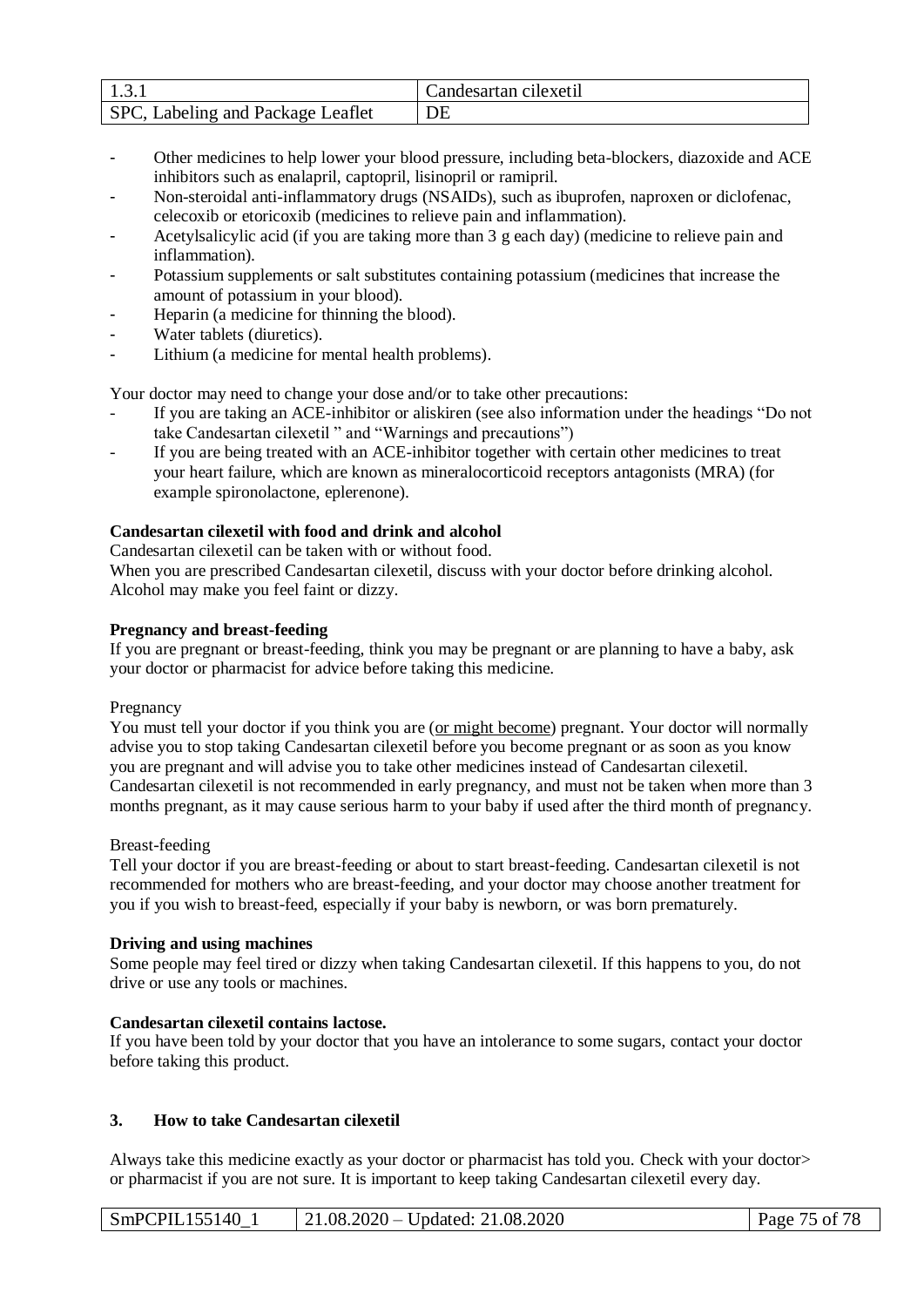|                                   | Candesartan cilexetil |
|-----------------------------------|-----------------------|
| SPC, Labeling and Package Leaflet |                       |

- Other medicines to help lower your blood pressure, including beta-blockers, diazoxide and ACE inhibitors such as enalapril, captopril, lisinopril or ramipril.
- Non-steroidal anti-inflammatory drugs (NSAIDs), such as ibuprofen, naproxen or diclofenac, celecoxib or etoricoxib (medicines to relieve pain and inflammation).
- Acetylsalicylic acid (if you are taking more than 3 g each day) (medicine to relieve pain and inflammation).
- Potassium supplements or salt substitutes containing potassium (medicines that increase the amount of potassium in your blood).
- Heparin (a medicine for thinning the blood).
- Water tablets (diuretics).
- Lithium (a medicine for mental health problems).

Your doctor may need to change your dose and/or to take other precautions:

- If you are taking an ACE-inhibitor or aliskiren (see also information under the headings "Do not take Candesartan cilexetil " and "Warnings and precautions")
- If you are being treated with an ACE-inhibitor together with certain other medicines to treat your heart failure, which are known as mineralocorticoid receptors antagonists (MRA) (for example spironolactone, eplerenone).

## **Candesartan cilexetil with food and drink and alcohol**

Candesartan cilexetil can be taken with or without food.

When you are prescribed Candesartan cilexetil, discuss with your doctor before drinking alcohol. Alcohol may make you feel faint or dizzy.

## **Pregnancy and breast-feeding**

If you are pregnant or breast-feeding, think you may be pregnant or are planning to have a baby, ask your doctor or pharmacist for advice before taking this medicine.

## Pregnancy

You must tell your doctor if you think you are (or might become) pregnant. Your doctor will normally advise you to stop taking Candesartan cilexetil before you become pregnant or as soon as you know you are pregnant and will advise you to take other medicines instead of Candesartan cilexetil. Candesartan cilexetil is not recommended in early pregnancy, and must not be taken when more than 3 months pregnant, as it may cause serious harm to your baby if used after the third month of pregnancy.

## Breast-feeding

Tell your doctor if you are breast-feeding or about to start breast-feeding. Candesartan cilexetil is not recommended for mothers who are breast-feeding, and your doctor may choose another treatment for you if you wish to breast-feed, especially if your baby is newborn, or was born prematurely.

## **Driving and using machines**

Some people may feel tired or dizzy when taking Candesartan cilexetil. If this happens to you, do not drive or use any tools or machines.

## **Candesartan cilexetil contains lactose.**

If you have been told by your doctor that you have an intolerance to some sugars, contact your doctor before taking this product.

# **3. How to take Candesartan cilexetil**

Always take this medicine exactly as your doctor or pharmacist has told you. Check with your doctor> or pharmacist if you are not sure. It is important to keep taking Candesartan cilexetil every day.

| SmPCPIL155140 | $21.08.2020 -$ Updated: 21.08.2020 | Page 75 of 78 |
|---------------|------------------------------------|---------------|
|---------------|------------------------------------|---------------|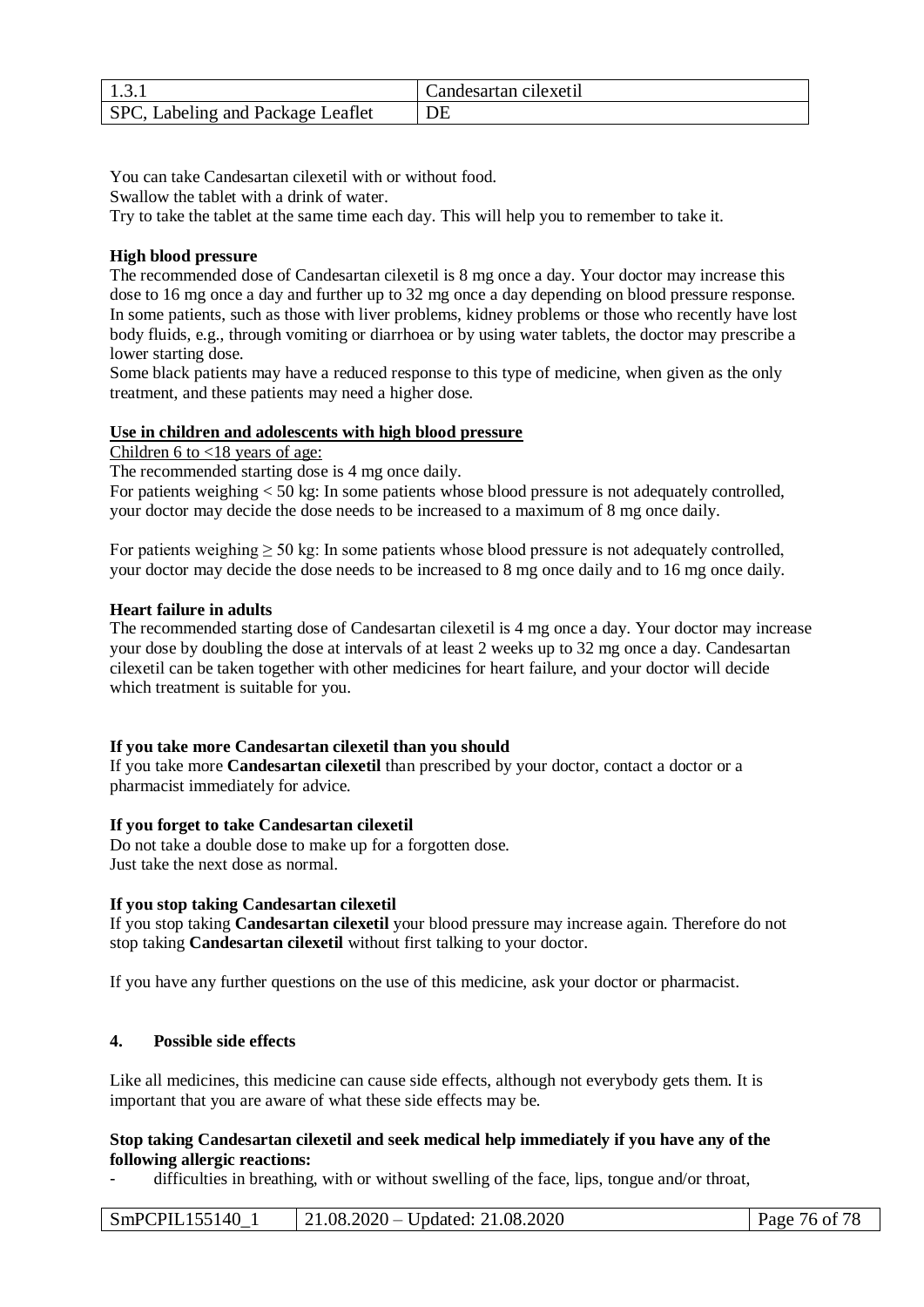|                                   | Candesartan cilexetil |
|-----------------------------------|-----------------------|
| SPC, Labeling and Package Leaflet |                       |

You can take Candesartan cilexetil with or without food.

Swallow the tablet with a drink of water.

Try to take the tablet at the same time each day. This will help you to remember to take it.

## **High blood pressure**

The recommended dose of Candesartan cilexetil is 8 mg once a day. Your doctor may increase this dose to 16 mg once a day and further up to 32 mg once a day depending on blood pressure response. In some patients, such as those with liver problems, kidney problems or those who recently have lost body fluids, e.g., through vomiting or diarrhoea or by using water tablets, the doctor may prescribe a lower starting dose.

Some black patients may have a reduced response to this type of medicine, when given as the only treatment, and these patients may need a higher dose.

## **Use in children and adolescents with high blood pressure**

Children 6 to <18 years of age:

The recommended starting dose is 4 mg once daily.

For patients weighing  $\lt 50$  kg: In some patients whose blood pressure is not adequately controlled, your doctor may decide the dose needs to be increased to a maximum of 8 mg once daily.

For patients weighing  $\geq 50$  kg: In some patients whose blood pressure is not adequately controlled, your doctor may decide the dose needs to be increased to 8 mg once daily and to 16 mg once daily.

## **Heart failure in adults**

The recommended starting dose of Candesartan cilexetil is 4 mg once a day. Your doctor may increase your dose by doubling the dose at intervals of at least 2 weeks up to 32 mg once a day. Candesartan cilexetil can be taken together with other medicines for heart failure, and your doctor will decide which treatment is suitable for you.

## **If you take more Candesartan cilexetil than you should**

If you take more **Candesartan cilexetil** than prescribed by your doctor, contact a doctor or a pharmacist immediately for advice.

# **If you forget to take Candesartan cilexetil**

Do not take a double dose to make up for a forgotten dose. Just take the next dose as normal.

# **If you stop taking Candesartan cilexetil**

If you stop taking **Candesartan cilexetil** your blood pressure may increase again. Therefore do not stop taking **Candesartan cilexetil** without first talking to your doctor.

If you have any further questions on the use of this medicine, ask your doctor or pharmacist.

## **4. Possible side effects**

Like all medicines, this medicine can cause side effects, although not everybody gets them. It is important that you are aware of what these side effects may be.

## **Stop taking Candesartan cilexetil and seek medical help immediately if you have any of the following allergic reactions:**

difficulties in breathing, with or without swelling of the face, lips, tongue and/or throat,

| SmPCPIL155140 | $21.08.2020 -$ Updated: $21.08.2020$ | Page 76 of 78 |
|---------------|--------------------------------------|---------------|
|---------------|--------------------------------------|---------------|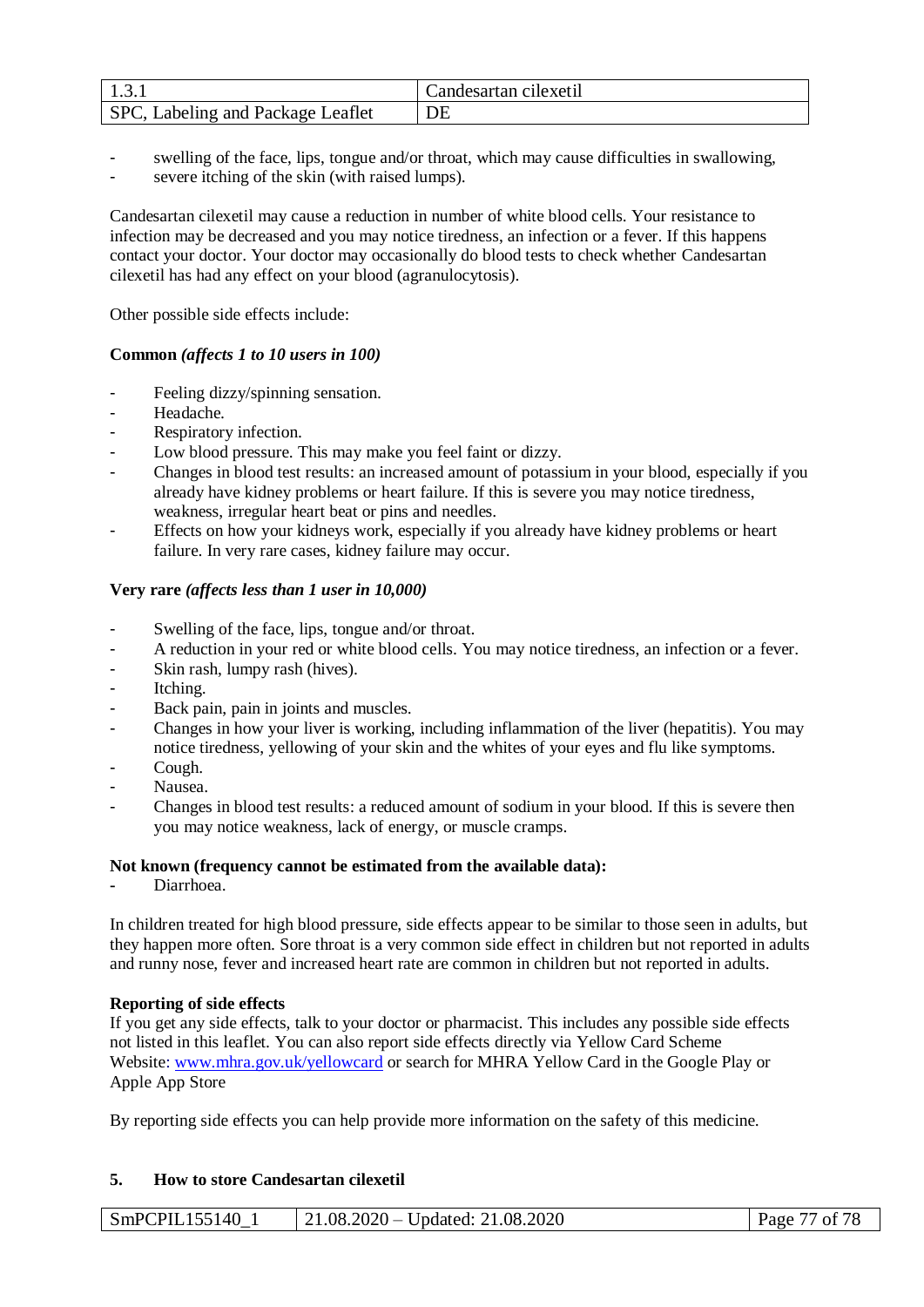|                                   | Candesartan cilexetil |
|-----------------------------------|-----------------------|
| SPC, Labeling and Package Leaflet |                       |

- swelling of the face, lips, tongue and/or throat, which may cause difficulties in swallowing,
- severe itching of the skin (with raised lumps).

Candesartan cilexetil may cause a reduction in number of white blood cells. Your resistance to infection may be decreased and you may notice tiredness, an infection or a fever. If this happens contact your doctor. Your doctor may occasionally do blood tests to check whether Candesartan cilexetil has had any effect on your blood (agranulocytosis).

Other possible side effects include:

# **Common** *(affects 1 to 10 users in 100)*

- Feeling dizzy/spinning sensation.
- Headache.
- Respiratory infection.
- Low blood pressure. This may make you feel faint or dizzy.
- Changes in blood test results: an increased amount of potassium in your blood, especially if you already have kidney problems or heart failure. If this is severe you may notice tiredness, weakness, irregular heart beat or pins and needles.
- Effects on how your kidneys work, especially if you already have kidney problems or heart failure. In very rare cases, kidney failure may occur.

# **Very rare** *(affects less than 1 user in 10,000)*

- Swelling of the face, lips, tongue and/or throat.
- A reduction in your red or white blood cells. You may notice tiredness, an infection or a fever.
- Skin rash, lumpy rash (hives).
- Itching.
- Back pain, pain in joints and muscles.
- Changes in how your liver is working, including inflammation of the liver (hepatitis). You may notice tiredness, yellowing of your skin and the whites of your eyes and flu like symptoms.
- Cough.
- Nausea.
- Changes in blood test results: a reduced amount of sodium in your blood. If this is severe then you may notice weakness, lack of energy, or muscle cramps.

# **Not known (frequency cannot be estimated from the available data):**

**-** Diarrhoea.

In children treated for high blood pressure, side effects appear to be similar to those seen in adults, but they happen more often. Sore throat is a very common side effect in children but not reported in adults and runny nose, fever and increased heart rate are common in children but not reported in adults.

# **Reporting of side effects**

If you get any side effects, talk to your doctor or pharmacist. This includes any possible side effects not listed in this leaflet. You can also report side effects directly via Yellow Card Scheme Website: [www.mhra.gov.uk/yellowcard](http://www.mhra.gov.uk/yellowcard) or search for MHRA Yellow Card in the Google Play or Apple App Store

By reporting side effects you can help provide more information on the safety of this medicine.

# **5. How to store Candesartan cilexetil**

| SmPCPIL155140 | $21.08.2020 -$ Updated: 21.08.2020 | Page 77 of 78 |
|---------------|------------------------------------|---------------|
|---------------|------------------------------------|---------------|